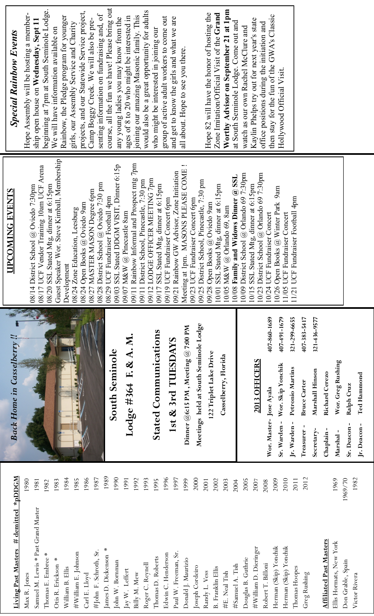| <b>Special Rainbow Events</b>           | course, all the fun we have! Please bring out<br>beginning at 7pm at South Seminole Lodge.<br>projects, and our Statewide Service project,<br>Hope Assembly will be hosting a member-<br>senting information on fundraising and, of<br>Rainbow, the Pledge program for younger<br>Camp Boggy Creek. We will also be pre-<br>ship open house on Wednesday, Sept 11<br>girls, our Assembly Service and Charity<br>We will have information available on | would also be a great opportunity for adults<br>joining our amazing Masonic family. This<br>ages of 8 to 20 who might be interested in<br>group of active adult workers to come out<br>and get to know the girls and what we are<br>any young ladies you may know from the<br>who might be interested in joining our<br>all about. Hope to see you there.                                                                                                         | Worthy Advisor on September 21 at 1pm<br>Zone Imitation/Official Visit of the Grand<br>Hope 82 will have the honor of hosting the<br>then stay for the fun of the GWA's Classic<br>Kaylin Phelps try out for next year's state<br>at South Seminole Lodge. Come out and<br>office positions during the initiation and<br>watch as our own Rachel McClure and<br>Hollywood Official Visit.                                       |                                                                                                                                                                                                                                              |
|-----------------------------------------|-------------------------------------------------------------------------------------------------------------------------------------------------------------------------------------------------------------------------------------------------------------------------------------------------------------------------------------------------------------------------------------------------------------------------------------------------------|-------------------------------------------------------------------------------------------------------------------------------------------------------------------------------------------------------------------------------------------------------------------------------------------------------------------------------------------------------------------------------------------------------------------------------------------------------------------|---------------------------------------------------------------------------------------------------------------------------------------------------------------------------------------------------------------------------------------------------------------------------------------------------------------------------------------------------------------------------------------------------------------------------------|----------------------------------------------------------------------------------------------------------------------------------------------------------------------------------------------------------------------------------------------|
| <b>UPCOMING EVENTS</b>                  | Guest Speaker Wor. Steve Kimball, Membership<br>08/17 UCF Vendor Training 10am UCF Arena<br>08/28 District School @ Oviedo 7:30 pm<br>08/14 District School @ Oviedo 7:30pm<br>08/20 SSL Stated Mtg, dinner at 6:15pm<br>08/27 MASTER MASON Degree 6pm<br>08/29 UCF Fundraiser Football 4pm<br>08/24 Open Books @ Oviedo 9am<br>08/24 Zone Education, Leesburg<br>Development                                                                         | 09/11 Rainbow Informal and Prospect mtg 7pm<br>SSL Stated DDGM VISIT, Dinner 6:15p<br>Meeting at 1pm. MASONS PLEASE COME !<br>09/23 UCF Fundraiser Concert 6pm<br>09/21 Rainbow GW Advisor, Zone Initiation<br>09/12 LODGE OFFICER MEETING 7pm<br>09/11 District School, Pinecastle, 7:30 pm<br>09/25 District School, Pinecastle, 7:30 pm<br>09/17 SSL Stated Mtg, dinner at 6:15pm<br>09/19 UCF Fundraiser Concert 6pm<br>09/07 M&W $@$ Pinecastle 8am<br>09/03 | 10/23 District School $@$ Orlando 69 7:30pm<br>10/09 District School @ Orlando 69 7:30pm<br>10/08 Family and Widows Dinner @ SSL<br>10/01 SSL Stated Mtg, dinner at 6:15pm<br>10/15 SSL Stated Mtg, dinner at 6:15pm<br>10/26 Open Books @ Winter Park 9am<br>11/21 UCF Fundraiser Football 4pm<br>09/28 Open Books @ Oviedo 9am<br>10/05 M&W @ Orlando 69, 8am<br>10/24 UCF Fundraiser Concert<br>11/05 UCF Fundraiser Concert |                                                                                                                                                                                                                                              |
| <b>Back Home in Casselberry!!</b>       |                                                                                                                                                                                                                                                                                                                                                                                                                                                       | Meetings held at South Seminole Lodge<br>Dinner @6:15 PM , Meeting @ 7:00 PM<br><b>Stated Communications</b><br>Lodge #364 F. & A. M.<br>1st & 3rd TUESDAYS<br><b>South Seminole</b>                                                                                                                                                                                                                                                                              | 407-860-1689<br>407-491-1679<br>321-299-6655<br>122 Triplet Lake Drive<br>Casselberry, Florida<br>2013 OFFICERS<br>Wor. Skip Yonchik<br>Petronio Martins<br>Wor. Master- Jose Ayala<br>Sr. Warden-<br>Jr. Warden-                                                                                                                                                                                                               | 407-383-5417<br>321-436-9577<br>Wor. Greg Rushing<br>Marshall Hinson<br>Richard Cerezo<br>Ted Hammond<br><b>Bruce Carter</b><br>Ralph Cruz<br>Sr. Deacon-<br>Jr. Deacon-<br>Treasurer-<br>$\mathbf{I}$<br>Secretary-<br>Marshal-<br>Chaplain |
| Living Past Masters $#$ demitted *pDDGM | 1989<br>1986<br>1987<br>1984<br>1985<br>1980<br>1983<br>1981<br>1982<br>Past Grand Master<br>James D. Dickenson *<br>#John F. Schroth, Sr.<br>#William E. Johnson<br>Thomas E. Embree *<br>Otis R. Erickson *<br>Samuel M. Lewis *<br>William B. Ellis<br>Max R. Jones<br>Carl E. Lloyd                                                                                                                                                               | 1990<br>2000<br>1996<br>1997<br>1991<br>1992<br>1993<br>1999<br>1995<br>2001<br>Paul W. Freeman, Sr.<br>Edwin C. Henderson<br>Thomas D. Roberts<br>Donald J. Maurizio<br>John W. Bornman<br>Roger C. Reynell<br>Joseph Cordeiro<br>Jay W. Leffert<br>Randy L. Vess<br>Billy M. Mew                                                                                                                                                                                | 2005<br>2009<br>2010<br>2002<br>2003<br>2007<br>2011<br>2004<br>2008<br>Herman (Skip) Yonchik<br>Herman (Skip) Yonchik<br>iash<br>Douglas B. Guthrie<br>#William D. Dierin<br>Robert T. Billoni<br>#Samuel A. Tish<br>Thomas Hoopes<br><b>B.</b> Franklin Ellis<br>#E. Neal Tish                                                                                                                                                | 1969/70<br>2012<br>1982<br>1969<br><b>Affiliated Past Masters</b><br>Ellis Hormats, New York<br>Don Grable, Spain<br>Greg Rushing<br>Victor Rivera                                                                                           |